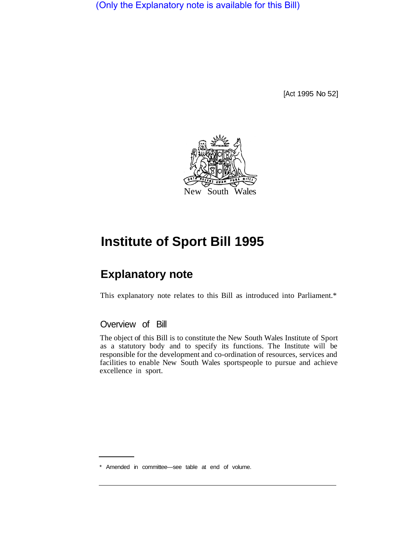(Only the Explanatory note is available for this Bill)

[Act 1995 No 52]



# **Institute of Sport Bill 1995**

## **Explanatory note**

This explanatory note relates to this Bill as introduced into Parliament.\*

### Overview of Bill

The object of this Bill is to constitute the New South Wales Institute of Sport as a statutory body and to specify its functions. The Institute will be responsible for the development and co-ordination of resources, services and facilities to enable New South Wales sportspeople to pursue and achieve excellence in sport.

<sup>\*</sup> Amended in committee—see table at end of volume.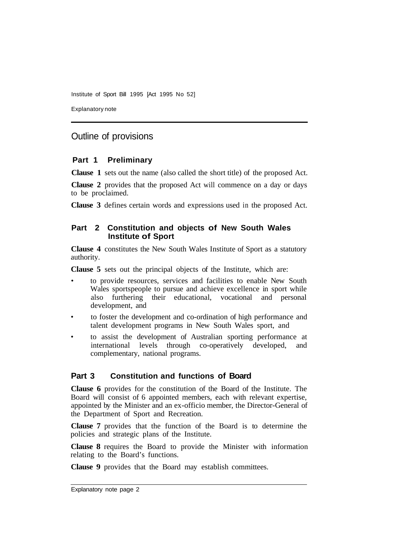Institute of Sport Bill 1995 [Act 1995 No 52]

Explanatory note

### Outline of provisions

#### **Part 1 Preliminary**

**Clause 1** sets out the name (also called the short title) of the proposed Act.

**Clause 2** provides that the proposed Act will commence on a day or days to be proclaimed.

**Clause 3** defines certain words and expressions used in the proposed Act.

#### **Part 2 Constitution and objects of New South Wales Institute of Sport**

**Clause 4** constitutes the New South Wales Institute of Sport as a statutory authority.

**Clause 5** sets out the principal objects of the Institute, which are:

- to provide resources, services and facilities to enable New South Wales sportspeople to pursue and achieve excellence in sport while also furthering their educational, vocational and personal development, and
- to foster the development and co-ordination of high performance and talent development programs in New South Wales sport, and
- to assist the development of Australian sporting performance at international levels through co-operatively developed, and complementary, national programs.

#### **Part 3 Constitution and functions of Board**

**Clause 6** provides for the constitution of the Board of the Institute. The Board will consist of 6 appointed members, each with relevant expertise, appointed by the Minister and an ex-officio member, the Director-General of the Department of Sport and Recreation.

**Clause 7** provides that the function of the Board is to determine the policies and strategic plans of the Institute.

**Clause 8** requires the Board to provide the Minister with information relating to the Board's functions.

**Clause 9** provides that the Board may establish committees.

Explanatory note page 2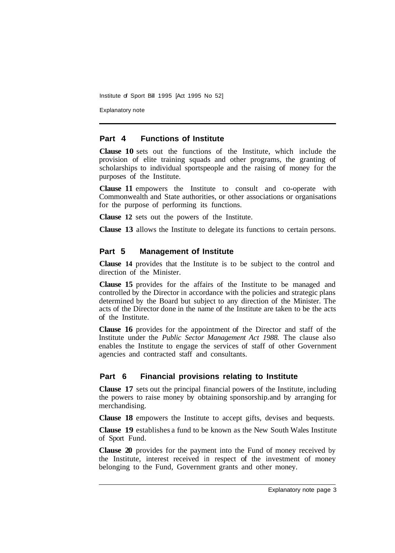Institute of Sport Bill 1995 [Act 1995 No 52]

Explanatory note

#### **Part 4 Functions of Institute**

**Clause 10** sets out the functions of the Institute, which include the provision of elite training squads and other programs, the granting of scholarships to individual sportspeople and the raising of money for the purposes of the Institute.

**Clause 11** empowers the Institute to consult and co-operate with Commonwealth and State authorities, or other associations or organisations for the purpose of performing its functions.

**Clause 12** sets out the powers of the Institute.

**Clause 13** allows the Institute to delegate its functions to certain persons.

#### **Part 5 Management of Institute**

**Clause 14** provides that the Institute is to be subject to the control and direction of the Minister.

**Clause 15** provides for the affairs of the Institute to be managed and controlled by the Director in accordance with the policies and strategic plans determined by the Board but subject to any direction of the Minister. The acts of the Director done in the name of the Institute are taken to be the acts of the Institute.

**Clause 16** provides for the appointment of the Director and staff of the Institute under the *Public Sector Management Act 1988.* The clause also enables the Institute to engage the services of staff of other Government agencies and contracted staff and consultants.

#### **Part 6 Financial provisions relating to Institute**

**Clause 17** sets out the principal financial powers of the Institute, including the powers to raise money by obtaining sponsorship. and by arranging for merchandising.

**Clause 18** empowers the Institute to accept gifts, devises and bequests.

**Clause 19** establishes a fund to be known as the New South Wales Institute of Sport Fund.

**Clause 20** provides for the payment into the Fund of money received by the Institute, interest received in respect of the investment of money belonging to the Fund, Government grants and other money.